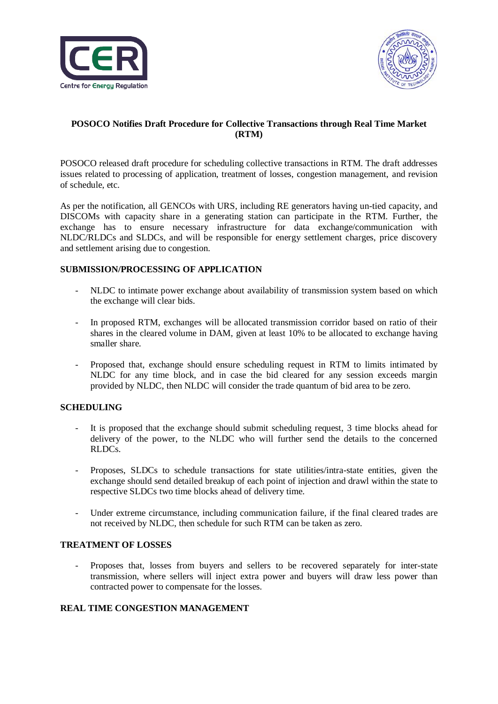



# **POSOCO Notifies Draft Procedure for Collective Transactions through Real Time Market (RTM)**

POSOCO released draft procedure for scheduling collective transactions in RTM. The draft addresses issues related to processing of application, treatment of losses, congestion management, and revision of schedule, etc.

As per the notification, all GENCOs with URS, including RE generators having un-tied capacity, and DISCOMs with capacity share in a generating station can participate in the RTM. Further, the exchange has to ensure necessary infrastructure for data exchange/communication with NLDC/RLDCs and SLDCs, and will be responsible for energy settlement charges, price discovery and settlement arising due to congestion.

### **SUBMISSION/PROCESSING OF APPLICATION**

- NLDC to intimate power exchange about availability of transmission system based on which the exchange will clear bids.
- In proposed RTM, exchanges will be allocated transmission corridor based on ratio of their shares in the cleared volume in DAM, given at least 10% to be allocated to exchange having smaller share.
- Proposed that, exchange should ensure scheduling request in RTM to limits intimated by NLDC for any time block, and in case the bid cleared for any session exceeds margin provided by NLDC, then NLDC will consider the trade quantum of bid area to be zero.

## **SCHEDULING**

- It is proposed that the exchange should submit scheduling request, 3 time blocks ahead for delivery of the power, to the NLDC who will further send the details to the concerned RLDCs.
- Proposes, SLDCs to schedule transactions for state utilities/intra-state entities, given the exchange should send detailed breakup of each point of injection and drawl within the state to respective SLDCs two time blocks ahead of delivery time.
- Under extreme circumstance, including communication failure, if the final cleared trades are not received by NLDC, then schedule for such RTM can be taken as zero.

#### **TREATMENT OF LOSSES**

- Proposes that, losses from buyers and sellers to be recovered separately for inter-state transmission, where sellers will inject extra power and buyers will draw less power than contracted power to compensate for the losses.

## **REAL TIME CONGESTION MANAGEMENT**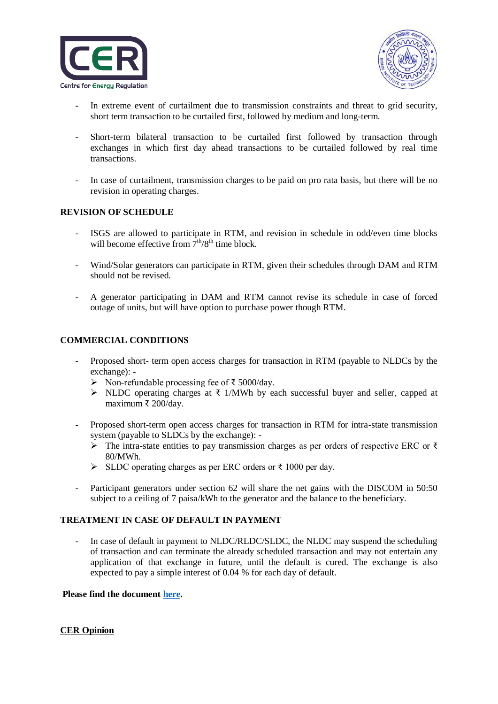



- In extreme event of curtailment due to transmission constraints and threat to grid security, short term transaction to be curtailed first, followed by medium and long-term.
- Short-term bilateral transaction to be curtailed first followed by transaction through exchanges in which first day ahead transactions to be curtailed followed by real time transactions.
- In case of curtailment, transmission charges to be paid on pro rata basis, but there will be no revision in operating charges.

### **REVISION OF SCHEDULE**

- ISGS are allowed to participate in RTM, and revision in schedule in odd/even time blocks will become effective from  $7<sup>th</sup>/8<sup>th</sup>$  time block.
- Wind/Solar generators can participate in RTM, given their schedules through DAM and RTM should not be revised.
- A generator participating in DAM and RTM cannot revise its schedule in case of forced outage of units, but will have option to purchase power though RTM.

### **COMMERCIAL CONDITIONS**

- Proposed short- term open access charges for transaction in RTM (payable to NLDCs by the exchange): -
	- Non‐refundable processing fee of ₹ 5000/day.
	- NLDC operating charges at ₹ 1/MWh by each successful buyer and seller, capped at maximum ₹ 200/day.
- Proposed short-term open access charges for transaction in RTM for intra-state transmission system (payable to SLDCs by the exchange): -
	- The intra-state entities to pay transmission charges as per orders of respective ERC or  $\bar{\tau}$ 80/MWh.
	- SLDC operating charges as per ERC orders or  $\bar{\tau}$  1000 per day.
- Participant generators under section 62 will share the net gains with the DISCOM in 50:50 subject to a ceiling of 7 paisa/kWh to the generator and the balance to the beneficiary.

## **TREATMENT IN CASE OF DEFAULT IN PAYMENT**

- In case of default in payment to NLDC/RLDC/SLDC, the NLDC may suspend the scheduling of transaction and can terminate the already scheduled transaction and may not entertain any application of that exchange in future, until the default is cured. The exchange is also expected to pay a simple interest of 0.04 % for each day of default.

#### **Please find the document [here.](https://posoco.in/download/draft-procedure-of-real-time-market-rtm-for-stakeholder-consultation/?wpdmdl=27895)**

#### **CER Opinion**